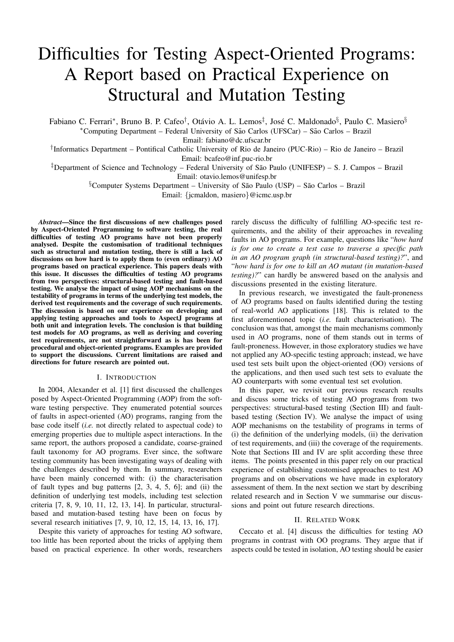# Difficulties for Testing Aspect-Oriented Programs: A Report based on Practical Experience on Structural and Mutation Testing

Fabiano C. Ferrari\*, Bruno B. P. Cafeo<sup>†</sup>, Otávio A. L. Lemos<sup>‡</sup>, José C. Maldonado<sup>§</sup>, Paulo C. Masiero<sup>§</sup> \*Computing Department – Federal University of São Carlos (UFSCar) – São Carlos – Brazil

Email: fabiano@dc.ufscar.br

† Informatics Department – Pontifical Catholic University of Rio de Janeiro (PUC-Rio) – Rio de Janeiro – Brazil Email: bcafeo@inf.puc-rio.br

 $\overline{P}$  Department of Science and Technology – Federal University of São Paulo (UNIFESP) – S. J. Campos – Brazil Email: otavio.lemos@unifesp.br

 $\S$ Computer Systems Department – University of São Paulo (USP) – São Carlos – Brazil

Email: {jcmaldon, masiero}@icmc.usp.br

*Abstract*—Since the first discussions of new challenges posed by Aspect-Oriented Programming to software testing, the real difficulties of testing AO programs have not been properly analysed. Despite the customisation of traditional techniques such as structural and mutation testing, there is still a lack of discussions on how hard is to apply them to (even ordinary) AO programs based on practical experience. This papers deals with this issue. It discusses the difficulties of testing AO programs from two perspectives: structural-based testing and fault-based testing. We analyse the impact of using AOP mechanisms on the testability of programs in terms of the underlying test models, the derived test requirements and the coverage of such requirements. The discussion is based on our experience on developing and applying testing approaches and tools to AspectJ programs at both unit and integration levels. The conclusion is that building test models for AO programs, as well as deriving and covering test requirements, are not straightforward as is has been for procedural and object-oriented programs. Examples are provided to support the discussions. Current limitations are raised and directions for future research are pointed out.

## I. INTRODUCTION

In 2004, Alexander et al. [1] first discussed the challenges posed by Aspect-Oriented Programming (AOP) from the software testing perspective. They enumerated potential sources of faults in aspect-oriented (AO) programs, ranging from the base code itself (*i.e.* not directly related to aspectual code) to emerging properties due to multiple aspect interactions. In the same report, the authors proposed a candidate, coarse-grained fault taxonomy for AO programs. Ever since, the software testing community has been investigating ways of dealing with the challenges described by them. In summary, researchers have been mainly concerned with: (i) the characterisation of fault types and bug patterns [2, 3, 4, 5, 6]; and (ii) the definition of underlying test models, including test selection criteria [7, 8, 9, 10, 11, 12, 13, 14]. In particular, structuralbased and mutation-based testing have been on focus by several research initiatives [7, 9, 10, 12, 15, 14, 13, 16, 17].

Despite this variety of approaches for testing AO software, too little has been reported about the tricks of applying them based on practical experience. In other words, researchers rarely discuss the difficulty of fulfilling AO-specific test requirements, and the ability of their approaches in revealing faults in AO programs. For example, questions like "*how hard is for one to create a test case to traverse a specific path in an AO program graph (in structural-based testing)?*", and "*how hard is for one to kill an AO mutant (in mutation-based testing)?*" can hardly be answered based on the analysis and discussions presented in the existing literature.

In previous research, we investigated the fault-proneness of AO programs based on faults identified during the testing of real-world AO applications [18]. This is related to the first aforementioned topic (*i.e.* fault characterisation). The conclusion was that, amongst the main mechanisms commonly used in AO programs, none of them stands out in terms of fault-proneness. However, in those exploratory studies we have not applied any AO-specific testing approach; instead, we have used test sets built upon the object-oriented (OO) versions of the applications, and then used such test sets to evaluate the AO counterparts with some eventual test set evolution.

In this paper, we revisit our previous research results and discuss some tricks of testing AO programs from two perspectives: structural-based testing (Section III) and faultbased testing (Section IV). We analyse the impact of using AOP mechanisms on the testability of programs in terms of (i) the definition of the underlying models, (ii) the derivation of test requirements, and (iii) the coverage of the requirements. Note that Sections III and IV are split according these three items. The points presented in this paper rely on our practical experience of establishing customised approaches to test AO programs and on observations we have made in exploratory assessment of them. In the next section we start by describing related research and in Section V we summarise our discussions and point out future research directions.

### II. RELATED WORK

Ceccato et al. [4] discuss the difficulties for testing AO programs in contrast with OO programs. They argue that if aspects could be tested in isolation, AO testing should be easier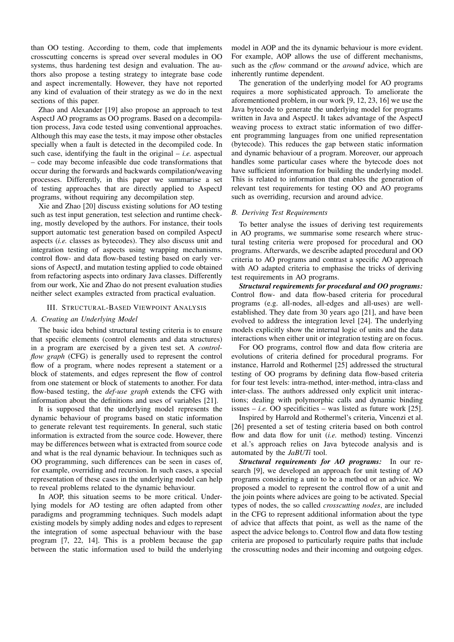than OO testing. According to them, code that implements crosscutting concerns is spread over several modules in OO systems, thus hardening test design and evaluation. The authors also propose a testing strategy to integrate base code and aspect incrementally. However, they have not reported any kind of evaluation of their strategy as we do in the next sections of this paper.

Zhao and Alexander [19] also propose an approach to test AspectJ AO programs as OO programs. Based on a decompilation process, Java code tested using conventional approaches. Although this may ease the tests, it may impose other obstacles specially when a fault is detected in the decompiled code. In such case, identifying the fault in the original – *i.e.* aspectual – code may become infeasible due code transformations that occur during the forwards and backwards compilation/weaving processes. Differently, in this paper we summarise a set of testing approaches that are directly applied to AspectJ programs, without requiring any decompilation step.

Xie and Zhao [20] discuss existing solutions for AO testing such as test input generation, test selection and runtime checking, mostly developed by the authors. For instance, their tools support automatic test generation based on compiled AspectJ aspects (*i.e.* classes as bytecodes). They also discuss unit and integration testing of aspects using wrapping mechanisms, control flow- and data flow-based testing based on early versions of AspectJ, and mutation testing applied to code obtained from refactoring aspects into ordinary Java classes. Differently from our work, Xie and Zhao do not present evaluation studies neither select examples extracted from practical evaluation.

## III. STRUCTURAL-BASED VIEWPOINT ANALYSIS

#### *A. Creating an Underlying Model*

The basic idea behind structural testing criteria is to ensure that specific elements (control elements and data structures) in a program are exercised by a given test set. A *controlflow graph* (CFG) is generally used to represent the control flow of a program, where nodes represent a statement or a block of statements, and edges represent the flow of control from one statement or block of statements to another. For data flow-based testing, the *def-use graph* extends the CFG with information about the definitions and uses of variables [21].

It is supposed that the underlying model represents the dynamic behaviour of programs based on static information to generate relevant test requirements. In general, such static information is extracted from the source code. However, there may be differences between what is extracted from source code and what is the real dynamic behaviour. In techniques such as OO programming, such differences can be seen in cases of, for example, overriding and recursion. In such cases, a special representation of these cases in the underlying model can help to reveal problems related to the dynamic behaviour.

In AOP, this situation seems to be more critical. Underlying models for AO testing are often adapted from other paradigms and programming techniques. Such models adapt existing models by simply adding nodes and edges to represent the integration of some aspectual behaviour with the base program [7, 22, 14]. This is a problem because the gap between the static information used to build the underlying model in AOP and the its dynamic behaviour is more evident. For example, AOP allows the use of different mechanisms, such as the *cflow* command or the *around* advice, which are inherently runtime dependent.

The generation of the underlying model for AO programs requires a more sophisticated approach. To ameliorate the aforementioned problem, in our work [9, 12, 23, 16] we use the Java bytecode to generate the underlying model for programs written in Java and AspectJ. It takes advantage of the AspectJ weaving process to extract static information of two different programming languages from one unified representation (bytecode). This reduces the gap between static information and dynamic behaviour of a program. Moreover, our approach handles some particular cases where the bytecode does not have sufficient information for building the underlying model. This is related to information that enables the generation of relevant test requirements for testing OO and AO programs such as overriding, recursion and around advice.

#### *B. Deriving Test Requirements*

To better analyse the issues of deriving test requirements in AO programs, we summarise some research where structural testing criteria were proposed for procedural and OO programs. Afterwards, we describe adapted procedural and OO criteria to AO programs and contrast a specific AO approach with AO adapted criteria to emphasise the tricks of deriving test requirements in AO programs.

*Structural requirements for procedural and OO programs:* Control flow- and data flow-based criteria for procedural programs (e.g. all-nodes, all-edges and all-uses) are wellestablished. They date from 30 years ago [21], and have been evolved to address the integration level [24]. The underlying models explicitly show the internal logic of units and the data interactions when either unit or integration testing are on focus.

For OO programs, control flow and data flow criteria are evolutions of criteria defined for procedural programs. For instance, Harrold and Rothermel [25] addressed the structural testing of OO programs by defining data flow-based criteria for four test levels: intra-method, inter-method, intra-class and inter-class. The authors addressed only explicit unit interactions; dealing with polymorphic calls and dynamic binding issues – *i.e.* OO specificities – was listed as future work [25].

Inspired by Harrold and Rothermel's criteria, Vincenzi et al. [26] presented a set of testing criteria based on both control flow and data flow for unit (*i.e.* method) testing. Vincenzi et al.'s approach relies on Java bytecode analysis and is automated by the *JaBUTi* tool.

*Structural requirements for AO programs:* In our research [9], we developed an approach for unit testing of AO programs considering a unit to be a method or an advice. We proposed a model to represent the control flow of a unit and the join points where advices are going to be activated. Special types of nodes, the so called *crosscutting nodes*, are included in the CFG to represent additional information about the type of advice that affects that point, as well as the name of the aspect the advice belongs to. Control flow and data flow testing criteria are proposed to particularly require paths that include the crosscutting nodes and their incoming and outgoing edges.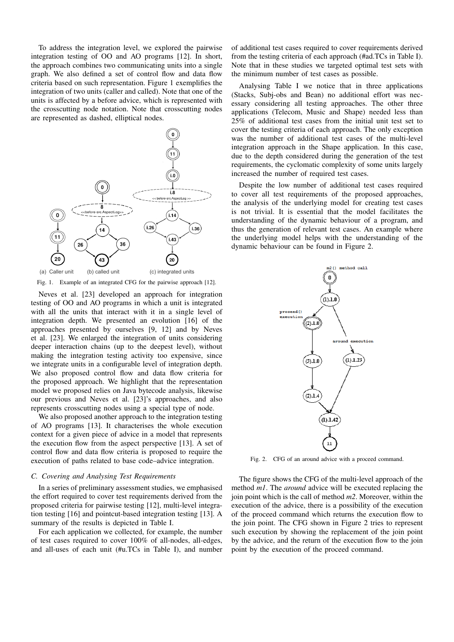To address the integration level, we explored the pairwise integration testing of OO and AO programs [12]. In short, the approach combines two communicating units into a single graph. We also defined a set of control flow and data flow criteria based on such representation. Figure 1 exemplifies the integration of two units (caller and called). Note that one of the units is affected by a before advice, which is represented with the crosscutting node notation. Note that crosscutting nodes are represented as dashed, elliptical nodes.



Fig. 1. Example of an integrated CFG for the pairwise approach [12].

Neves et al. [23] developed an approach for integration testing of OO and AO programs in which a unit is integrated with all the units that interact with it in a single level of integration depth. We presented an evolution [16] of the approaches presented by ourselves [9, 12] and by Neves et al. [23]. We enlarged the integration of units considering deeper interaction chains (up to the deepest level), without making the integration testing activity too expensive, since we integrate units in a configurable level of integration depth. We also proposed control flow and data flow criteria for the proposed approach. We highlight that the representation model we proposed relies on Java bytecode analysis, likewise our previous and Neves et al. [23]'s approaches, and also represents crosscutting nodes using a special type of node.

We also proposed another approach to the integration testing of AO programs [13]. It characterises the whole execution context for a given piece of advice in a model that represents the execution flow from the aspect perspective [13]. A set of control flow and data flow criteria is proposed to require the execution of paths related to base code–advice integration.

#### *C. Covering and Analysing Test Requirements*

In a series of preliminary assessment studies, we emphasised the effort required to cover test requirements derived from the proposed criteria for pairwise testing [12], multi-level integration testing [16] and pointcut-based integration testing [13]. A summary of the results is depicted in Table I.

For each application we collected, for example, the number of test cases required to cover 100% of all-nodes, all-edges, and all-uses of each unit (#u.TCs in Table I), and number

of additional test cases required to cover requirements derived from the testing criteria of each approach (#ad.TCs in Table I). Note that in these studies we targeted optimal test sets with the minimum number of test cases as possible.

Analysing Table I we notice that in three applications (Stacks, Subj-obs and Bean) no additional effort was necessary considering all testing approaches. The other three applications (Telecom, Music and Shape) needed less than 25% of additional test cases from the initial unit test set to cover the testing criteria of each approach. The only exception was the number of additional test cases of the multi-level integration approach in the Shape application. In this case, due to the depth considered during the generation of the test requirements, the cyclomatic complexity of some units largely increased the number of required test cases.

Despite the low number of additional test cases required to cover all test requirements of the proposed approaches, the analysis of the underlying model for creating test cases is not trivial. It is essential that the model facilitates the understanding of the dynamic behaviour of a program, and thus the generation of relevant test cases. An example where the underlying model helps with the understanding of the dynamic behaviour can be found in Figure 2.



Fig. 2. CFG of an around advice with a proceed command.

The figure shows the CFG of the multi-level approach of the method *m1*. The *around* advice will be executed replacing the join point which is the call of method *m2*. Moreover, within the execution of the advice, there is a possibility of the execution of the proceed command which returns the execution flow to the join point. The CFG shown in Figure 2 tries to represent such execution by showing the replacement of the join point by the advice, and the return of the execution flow to the join point by the execution of the proceed command.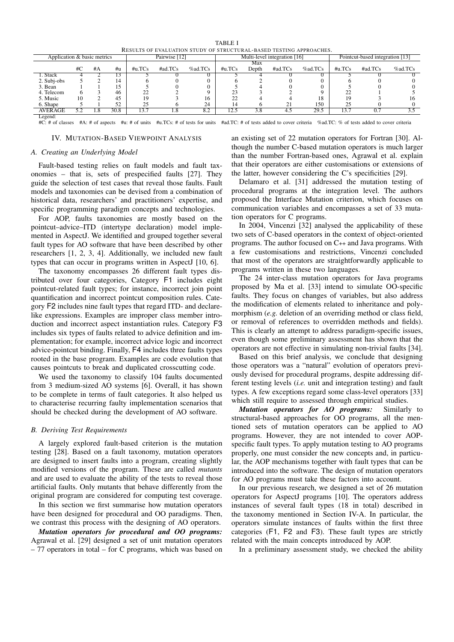| <u>KESULIS UP EVALUATIUN STUDI UP STRUCTURAL-BASED TESTING APPROACHES.</u>                                                                                                    |     |     |               |           |            |         |            |                              |                                 |         |            |                  |         |
|-------------------------------------------------------------------------------------------------------------------------------------------------------------------------------|-----|-----|---------------|-----------|------------|---------|------------|------------------------------|---------------------------------|---------|------------|------------------|---------|
| Application & basic metrics                                                                                                                                                   |     |     | Pairwise [12] |           |            |         |            | Multi-level integration [16] | Pointcut-based integration [13] |         |            |                  |         |
|                                                                                                                                                                               |     |     |               |           |            |         |            | Max                          |                                 |         |            |                  |         |
|                                                                                                                                                                               | #C  | #A  | #u            | $\#u.TCs$ | $\#ad.TCs$ | %ad.TCs | $\#u$ .TCs | Depth                        | $\#ad.TCs$                      | %ad.TCs | $\#u$ .TCs | $\#ad.TCs$       | %ad.TCs |
| 1. Stack                                                                                                                                                                      |     |     |               |           |            |         |            |                              |                                 |         |            |                  |         |
| 2. Subj-obs                                                                                                                                                                   |     |     | 14            |           |            |         |            |                              |                                 |         |            |                  |         |
| 3. Bean                                                                                                                                                                       |     |     | 15            |           |            |         |            |                              |                                 |         |            |                  |         |
| 4. Telecom                                                                                                                                                                    |     |     | 46            | 22        |            |         |            |                              |                                 |         |            |                  |         |
| 5. Music                                                                                                                                                                      | 10  |     | 45            |           |            | Iб      |            |                              |                                 | 18      |            |                  |         |
| 6. Shape                                                                                                                                                                      |     |     | 52            | 25        |            | 24      | 14         |                              |                                 | 150     |            |                  |         |
| <b>AVERAGE</b>                                                                                                                                                                | 5.2 | 1.8 | 30.8          | 13.7      | -8         | 8.2     | 12.5       | 3.8                          | 4.5                             | 29.5    | 13.7       | $\overline{0}$ . | 3.5     |
| Legend:                                                                                                                                                                       |     |     |               |           |            |         |            |                              |                                 |         |            |                  |         |
| #u: # of units #u.TCs: # of tests for units #ad.TC: # of tests added to cover criteria %ad.TC: % of tests added to cover criteria<br>#A: # of aspects<br>$\#C$ : # of classes |     |     |               |           |            |         |            |                              |                                 |         |            |                  |         |

TABLE I RESULTS OF EVALUATION STUDY OF STRUCTURAL-BASED TESTING APPROACHES.

#### IV. MUTATION-BASED VIEWPOINT ANALYSIS

# *A. Creating an Underlying Model*

Fault-based testing relies on fault models and fault taxonomies – that is, sets of prespecified faults [27]. They guide the selection of test cases that reveal those faults. Fault models and taxonomies can be devised from a combination of historical data, researchers' and practitioners' expertise, and specific programming paradigm concepts and technologies.

For AOP, faults taxonomies are mostly based on the pointcut–advice–ITD (intertype declaration) model implemented in AspectJ. We identified and grouped together several fault types for AO software that have been described by other researchers [1, 2, 3, 4]. Additionally, we included new fault types that can occur in programs written in AspectJ [10, 6].

The taxonomy encompasses 26 different fault types distributed over four categories, Category F1 includes eight pointcut-related fault types; for instance, incorrect join point quantification and incorrect pointcut composition rules. Category F2 includes nine fault types that regard ITD- and declarelike expressions. Examples are improper class member introduction and incorrect aspect instantiation rules. Category F3 includes six types of faults related to advice definition and implementation; for example, incorrect advice logic and incorrect advice-pointcut binding. Finally, F4 includes three faults types rooted in the base program. Examples are code evolution that causes pointcuts to break and duplicated crosscutting code.

We used the taxonomy to classify 104 faults documented from 3 medium-sized AO systems [6]. Overall, it has shown to be complete in terms of fault categories. It also helped us to characterise recurring faulty implementation scenarios that should be checked during the development of AO software.

# *B. Deriving Test Requirements*

A largely explored fault-based criterion is the mutation testing [28]. Based on a fault taxonomy, mutation operators are designed to insert faults into a program, creating slightly modified versions of the program. These are called *mutants* and are used to evaluate the ability of the tests to reveal those artificial faults. Only mutants that behave differently from the original program are considered for computing test coverage.

In this section we first summarise how mutation operators have been designed for procedural and OO paradigms. Then, we contrast this process with the designing of AO operators.

*Mutation operators for procedural and OO programs:* Agrawal et al. [29] designed a set of unit mutation operators – 77 operators in total – for C programs, which was based on an existing set of 22 mutation operators for Fortran [30]. Although the number C-based mutation operators is much larger than the number Fortran-based ones, Agrawal et al. explain that their operators are either customisations or extensions of the latter, however considering the C's specificities [29].

Delamaro et al. [31] addressed the mutation testing of procedural programs at the integration level. The authors proposed the Interface Mutation criterion, which focuses on communication variables and encompasses a set of 33 mutation operators for C programs.

In 2004, Vincenzi [32] analysed the applicability of these two sets of C-based operators in the context of object-oriented programs. The author focused on C++ and Java programs. With a few customisations and restrictions, Vincenzi concluded that most of the operators are straightforwardly applicable to programs written in these two languages.

The 24 inter-class mutation operators for Java programs proposed by Ma et al. [33] intend to simulate OO-specific faults. They focus on changes of variables, but also address the modification of elements related to inheritance and polymorphism (*e.g.* deletion of an overriding method or class field, or removal of references to overridden methods and fields). This is clearly an attempt to address paradigm-specific issues, even though some preliminary assessment has shown that the operators are not effective in simulating non-trivial faults [34].

Based on this brief analysis, we conclude that designing those operators was a "natural" evolution of operators previously devised for procedural programs, despite addressing different testing levels (*i.e.* unit and integration testing) and fault types. A few exceptions regard some class-level operators [33] which still require to assessed through empirical studies.

*Mutation operators for AO programs:* Similarly to structural-based approaches for OO programs, all the mentioned sets of mutation operators can be applied to AO programs. However, they are not intended to cover AOPspecific fault types. To apply mutation testing to AO programs properly, one must consider the new concepts and, in particular, the AOP mechanisms together with fault types that can be introduced into the software. The design of mutation operators for AO programs must take these factors into account.

In our previous research, we designed a set of 26 mutation operators for AspectJ programs [10]. The operators address instances of several fault types (18 in total) described in the taxonomy mentioned in Section IV-A. In particular, the operators simulate instances of faults within the first three categories (F1, F2 and F3). These fault types are strictly related with the main concepts introduced by AOP.

In a preliminary assessment study, we checked the ability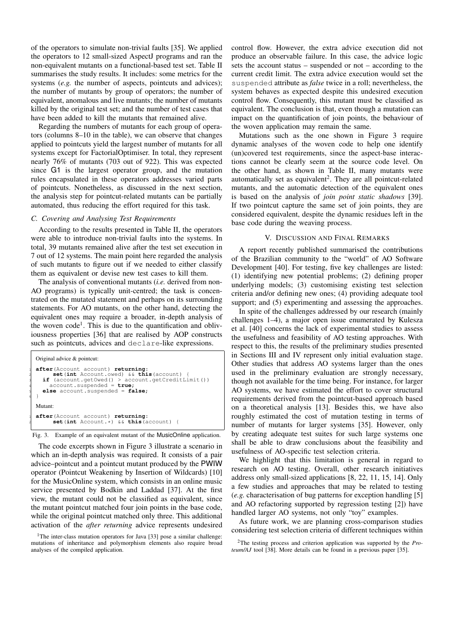of the operators to simulate non-trivial faults [35]. We applied the operators to 12 small-sized AspectJ programs and ran the non-equivalent mutants on a functional-based test set. Table II summarises the study results. It includes: some metrics for the systems (*e.g.* the number of aspects, pointcuts and advices); the number of mutants by group of operators; the number of equivalent, anomalous and live mutants; the number of mutants killed by the original test set; and the number of test cases that have been added to kill the mutants that remained alive.

Regarding the numbers of mutants for each group of operators (columns 8–10 in the table), we can observe that changes applied to pointcuts yield the largest number of mutants for all systems except for FactorialOptimiser. In total, they represent nearly 76% of mutants (703 out of 922). This was expected since G1 is the largest operator group, and the mutation rules encapsulated in these operators addresses varied parts of pointcuts. Nonetheless, as discussed in the next section, the analysis step for pointcut-related mutants can be partially automated, thus reducing the effort required for this task.

#### *C. Covering and Analysing Test Requirements*

According to the results presented in Table II, the operators were able to introduce non-trivial faults into the systems. In total, 39 mutants remained alive after the test set execution in 7 out of 12 systems. The main point here regarded the analysis of such mutants to figure out if we needed to either classify them as equivalent or devise new test cases to kill them.

The analysis of conventional mutants (*i.e.* derived from non-AO programs) is typically unit-centred; the task is concentrated on the mutated statement and perhaps on its surrounding statements. For AO mutants, on the other hand, detecting the equivalent ones may require a broader, in-depth analysis of the woven code<sup>1</sup>. This is due to the quantification and obliviousness properties [36] that are realised by AOP constructs such as pointcuts, advices and declare-like expressions.

```
Original advice & pointcut:
  1 after(Account account) returning:
         2 set(int Account.owed) && this(account) {
3 if (account.getOwed() > account.getCreditLimit())
4 account.suspended = true;
     else account.suspended = false;
6 }
  Mutant:
1 after(Account account) returning:
2 set(int Account.*) && this(account) {
```


The code excerpts shown in Figure 3 illustrate a scenario in which an in-depth analysis was required. It consists of a pair advice–pointcut and a pointcut mutant produced by the PWIW operator (Pointcut Weakening by Insertion of Wildcards) [10] for the MusicOnline system, which consists in an online music service presented by Bodkin and Laddad [37]. At the first view, the mutant could not be classified as equivalent, since the mutant pointcut matched four join points in the base code, while the original pointcut matched only three. This additional activation of the *after returning* advice represents undesired

control flow. However, the extra advice execution did not produce an observable failure. In this case, the advice logic sets the account status – suspended or not – according to the current credit limit. The extra advice execution would set the suspended attribute as *false* twice in a roll; nevertheless, the system behaves as expected despite this undesired execution control flow. Consequently, this mutant must be classified as equivalent. The conclusion is that, even though a mutation can impact on the quantification of join points, the behaviour of the woven application may remain the same.

Mutations such as the one shown in Figure 3 require dynamic analyses of the woven code to help one identify (un)covered test requirements, since the aspect-base interactions cannot be clearly seem at the source code level. On the other hand, as shown in Table II, many mutants were automatically set as equivalent<sup>2</sup>. They are all pointcut-related mutants, and the automatic detection of the equivalent ones is based on the analysis of *join point static shadows* [39]. If two pointcut capture the same set of join points, they are considered equivalent, despite the dynamic residues left in the base code during the weaving process.

#### V. DISCUSSION AND FINAL REMARKS

A report recently published summarised the contributions of the Brazilian community to the "world" of AO Software Development [40]. For testing, five key challenges are listed: (1) identifying new potential problems; (2) defining proper underlying models; (3) customising existing test selection criteria and/or defining new ones; (4) providing adequate tool support; and  $(5)$  experimenting and assessing the approaches.

In spite of the challenges addressed by our research (mainly challenges 1–4), a major open issue enumerated by Kulesza et al. [40] concerns the lack of experimental studies to assess the usefulness and feasibility of AO testing approaches. With respect to this, the results of the preliminary studies presented in Sections III and IV represent only initial evaluation stage. Other studies that address AO systems larger than the ones used in the preliminary evaluation are strongly necessary, though not available for the time being. For instance, for larger AO systems, we have estimated the effort to cover structural requirements derived from the pointcut-based approach based on a theoretical analysis [13]. Besides this, we have also roughly estimated the cost of mutation testing in terms of number of mutants for larger systems [35]. However, only by creating adequate test suites for such large systems one shall be able to draw conclusions about the feasibility and usefulness of AO-specific test selection criteria.

We highlight that this limitation is general in regard to research on AO testing. Overall, other research initiatives address only small-sized applications [8, 22, 11, 15, 14]. Only a few studies and approaches that may be related to testing (*e.g.* characterisation of bug patterns for exception handling [5] and AO refactoring supported by regression testing [2]) have handled larger AO systems, not only "toy" examples.

As future work, we are planning cross-comparison studies considering test selection criteria of different techniques within

<sup>&</sup>lt;sup>1</sup>The inter-class mutation operators for Java [33] pose a similar challenge: mutations of inheritance and polymorphism elements also require broad analyses of the compiled application.

<sup>2</sup>The testing process and criterion application was supported by the *Proteum/AJ* tool [38]. More details can be found in a previous paper [35].